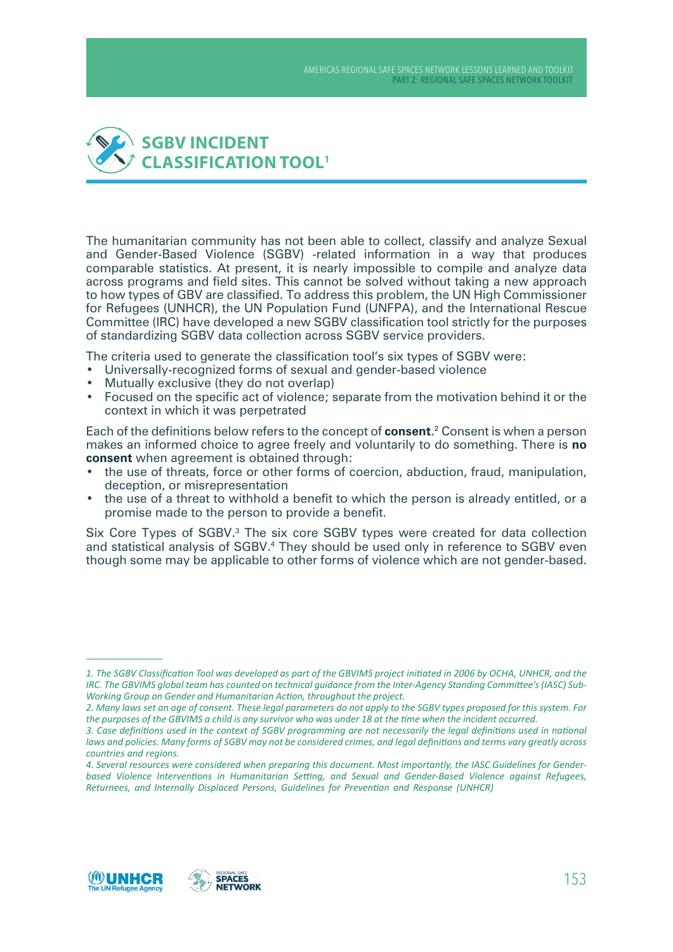

The humanitarian community has not been able to collect, classify and analyze Sexual and Gender-Based Violence (SGBV) -related information in a way that produces comparable statistics. At present, it is nearly impossible to compile and analyze data across programs and field sites. This cannot be solved without taking a new approach to how types of GBV are classified. To address this problem, the UN High Commissioner for Refugees (UNHCR), the UN Population Fund (UNFPA), and the International Rescue Committee (IRC) have developed a new SGBV classification tool strictly for the purposes of standardizing SGBV data collection across SGBV service providers.

The criteria used to generate the classification tool's six types of SGBV were:

- • Universally-recognized forms of sexual and gender-based violence
- Mutually exclusive (they do not overlap)
- Focused on the specific act of violence; separate from the motivation behind it or the context in which it was perpetrated

Each of the definitions below refers to the concept of **consent**. 2 Consent is when a person makes an informed choice to agree freely and voluntarily to do something. There is **no consent** when agreement is obtained through:

- the use of threats, force or other forms of coercion, abduction, fraud, manipulation, deception, or misrepresentation
- the use of a threat to withhold a benefit to which the person is already entitled, or a promise made to the person to provide a benefit.

Six Core Types of SGBV.<sup>3</sup> The six core SGBV types were created for data collection and statistical analysis of SGBV.<sup>4</sup> They should be used only in reference to SGBV even though some may be applicable to other forms of violence which are not gender-based.



<sup>1.</sup> The SGBV Classification Tool was developed as part of the GBVIMS project initiated in 2006 by OCHA, UNHCR, and the *IRC. The GBVIMS global team has counted on technical guidance from the Inter-Agency Standing Committee's (IASC) Sub-*Working Group on Gender and Humanitarian Action, throughout the project.

<sup>2.</sup> Many laws set an age of consent. These legal parameters do not apply to the SGBV types proposed for this system. For *the purposes of the GBVIMS a child is any survivor who was under 18 at the time when the incident occurred.* 

<sup>3.</sup> Case definitions used in the context of SGBV programming are not necessarily the legal definitions used in national *laws and policies. Many forms of SGBV may not be considered crimes, and legal definitions and terms vary greatly across countries and reaions.* 

<sup>4.</sup> Several resources were considered when preparing this document. Most importantly, the IASC Guidelines for Gender*based Violence Interventions in Humanitarian Setting, and Sexual and Gender-Based Violence against Refugees, Returnees, and Internally Displaced Persons, Guidelines for Prevention and Response (UNHCR)*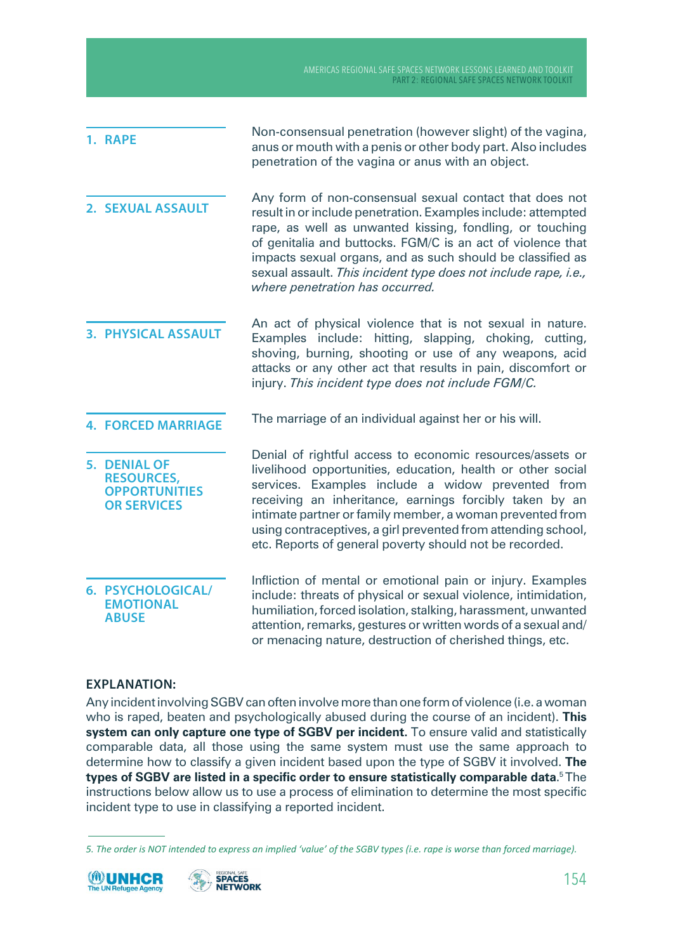| 1. RAPE                                                                         | Non-consensual penetration (however slight) of the vagina,<br>anus or mouth with a penis or other body part. Also includes<br>penetration of the vagina or anus with an object.                                                                                                                                                                                                                                                   |
|---------------------------------------------------------------------------------|-----------------------------------------------------------------------------------------------------------------------------------------------------------------------------------------------------------------------------------------------------------------------------------------------------------------------------------------------------------------------------------------------------------------------------------|
| <b>2. SEXUAL ASSAULT</b>                                                        | Any form of non-consensual sexual contact that does not<br>result in or include penetration. Examples include: attempted<br>rape, as well as unwanted kissing, fondling, or touching<br>of genitalia and buttocks. FGM/C is an act of violence that<br>impacts sexual organs, and as such should be classified as<br>sexual assault. This incident type does not include rape, i.e.,<br>where penetration has occurred.           |
| <b>3. PHYSICAL ASSAULT</b>                                                      | An act of physical violence that is not sexual in nature.<br>Examples include: hitting, slapping, choking, cutting,<br>shoving, burning, shooting or use of any weapons, acid<br>attacks or any other act that results in pain, discomfort or<br>injury. This incident type does not include FGM/C.                                                                                                                               |
| <b>4. FORCED MARRIAGE</b>                                                       | The marriage of an individual against her or his will.                                                                                                                                                                                                                                                                                                                                                                            |
| 5. DENIAL OF<br><b>RESOURCES,</b><br><b>OPPORTUNITIES</b><br><b>OR SERVICES</b> | Denial of rightful access to economic resources/assets or<br>livelihood opportunities, education, health or other social<br>services. Examples include a widow prevented from<br>receiving an inheritance, earnings forcibly taken by an<br>intimate partner or family member, a woman prevented from<br>using contraceptives, a girl prevented from attending school,<br>etc. Reports of general poverty should not be recorded. |
| 6. PSYCHOLOGICAL/<br><b>EMOTIONAL</b><br><b>ABUSE</b>                           | Infliction of mental or emotional pain or injury. Examples<br>include: threats of physical or sexual violence, intimidation,<br>humiliation, forced isolation, stalking, harassment, unwanted<br>attention, remarks, gestures or written words of a sexual and/                                                                                                                                                                   |

## **EXPLANATION:**

Any incident involving SGBV can often involve more than one form of violence (i.e. a woman who is raped, beaten and psychologically abused during the course of an incident). **This system can only capture one type of SGBV per incident.** To ensure valid and statistically comparable data, all those using the same system must use the same approach to determine how to classify a given incident based upon the type of SGBV it involved. **The types of SGBV are listed in a specific order to ensure statistically comparable data**. 5 The instructions below allow us to use a process of elimination to determine the most specific incident type to use in classifying a reported incident.

or menacing nature, destruction of cherished things, etc.

*<sup>5.</sup> The order is NOT intended to express an implied 'value' of the SGBV types (i.e. rape is worse than forced marriage).*